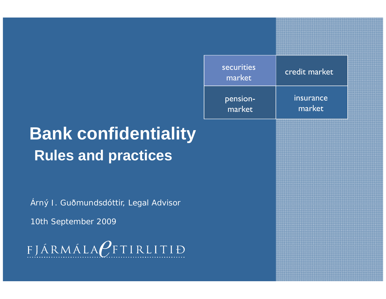# **Bank confidentiality Rules and practices**

Árný J. Guðmundsdóttir, Legal Advisor

10th September 2009

FJÁRMÁLAPFTIRLITIÐ

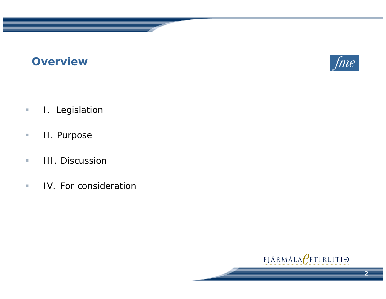### **Overview**



- $\overline{\phantom{a}}$ I. Legislation
- $\mathcal{L}_{\mathcal{A}}$ II. Purpose
- $\mathcal{L}_{\mathcal{A}}$ **III. Discussion**
- $\mathcal{L}_{\mathcal{A}}$ IV. For consideration

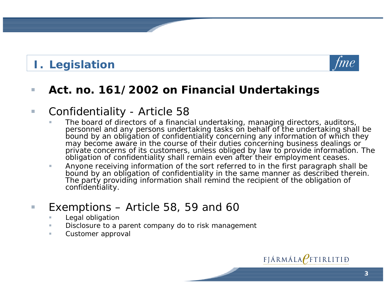## **I. Legislation**



#### $\mathcal{L}_{\mathcal{A}}$ **Act. no. 161/2002 on Financial Undertakings**

#### $\mathcal{C}^{\mathcal{A}}$ *Confidentiality -* Article 58

- The board of directors of a financial undertaking, managing directors, auditors, personnel and any persons undertaking tasks on behalf of the undertaking shall be bound by an obligation of confidentiality concerning any information of which they may become aware in the course of their duties concerning business dealings or private concerns of its customers, unless obliged by law to provide information. The obligation of confidentiality shall remain even after their employment ceases.
- $\mathcal{L}_{\mathcal{A}}$  Anyone receiving information of the sort referred to in the first paragraph shall be bound by an obligation of confidentiality in the same manner as described therein. The party providing information shall remind the recipient of the obligation of confidentiality.

#### $\mathcal{L}_{\mathcal{A}}$ *Exemptions – Article 58 59 and 60 58, 60*

- *Legal obligation*
- *Disclosure to a parent company do to risk management*
- m. *Customer approval*

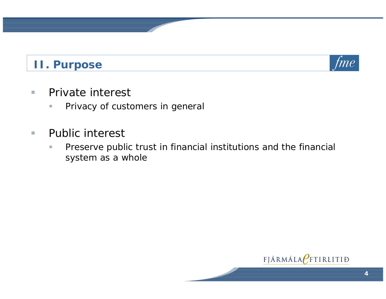### **II. Purpose**



- $\mathcal{L}_{\mathcal{A}}$  Private interest
	- $\mathcal{L}_{\mathcal{A}}$ Privacy of customers in general
- $\mathcal{L}_{\mathcal{A}}$ Public interest
	- $\mathcal{C}$  Preserve public trust in financial institutions and the financial system as a whole

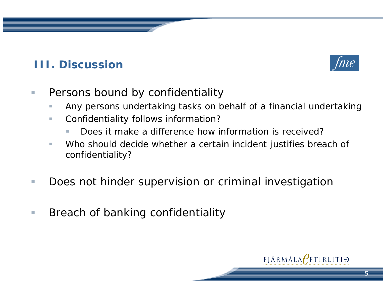### **III. Discussion**



- $\mathcal{L}_{\mathcal{A}}$  Persons bound by confidentiality
	- $\sim$ Any persons undertaking tasks on behalf of a financial undertaking
	- $\mathcal{L}_{\mathcal{A}}$  Confidentiality follows information?
		- г Does it make a difference how information is received?
	- m. Who should decide whether a certain incident justifies breach of confidentiality?
- $\mathcal{L}_{\mathcal{A}}$ Does not hinder supervision or criminal investigation
- $\mathcal{L}_{\mathcal{A}}$ Breach of banking confidentiality